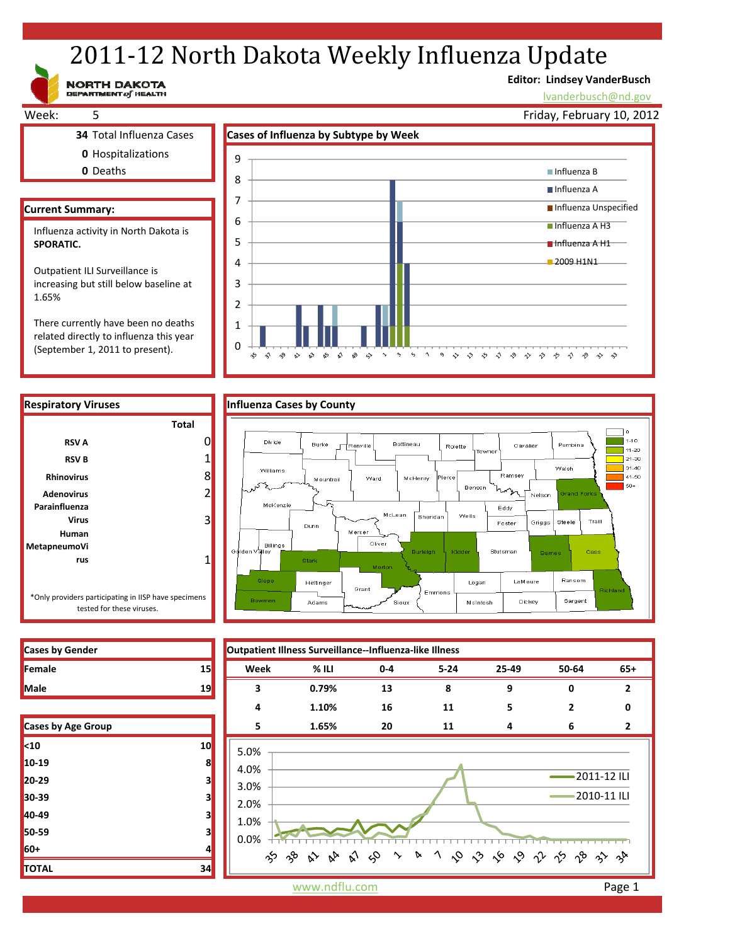# 2011-12 North Dakota Weekly Influenza Update

**Editor: Lindsey VanderBusch**

 $\hat{v}$   $\hat{v}$   $\hat{v}$ 

 $\hat{v}$ 

 $\hat{\mathcal{D}}$ 

 $\rightarrow$ 

lvanderbusch@nd.gov



There currently have been no deaths related directly to influenza this year (September 1, 2011 to present).

NORTH DAKOTA



**RSV A** 0 **RSV B** 1 **Rhinovirus** 8 **Adenovirus** 2

**Virus** 3

**rus** 1

**Total**

 $\Omega$ 1

> ÷,  $\hat{\gamma}$  $\gamma^{\bullet}_{\gamma}$  $\mathbb{R}^3$  –  $\mathbb{R}^3$  $\kappa$  $\hat{\mathbf{x}}$  $\mathbb{R}^9$   $\Leftrightarrow$  $\sim$  $\gamma$  $\varsigma_2$





 $\boldsymbol{\gamma}$ 

 $\begin{array}{ccccc}\n\circ & \diamond & \diamond & \circ\n\end{array}$ 

 $\rightsquigarrow$  $\Diamond$  $\diamondsuit$   $\diamondsuit$ 

\*Only providers participating in IISP have specimens tested for these viruses.

**Parainfluenza**

**Human MetapneumoVi**

| <b>Cases by Gender</b>    |              | Outpatient Illness Surveillance--Influenza-like Illness |         |         |          |       |                |             |
|---------------------------|--------------|---------------------------------------------------------|---------|---------|----------|-------|----------------|-------------|
| Female                    | 15           | Week                                                    | $%$ ILI | $0 - 4$ | $5 - 24$ | 25-49 | 50-64          | $65+$       |
| Male                      | 19           | 3                                                       | 0.79%   | 13      | 8        | 9     | 0              |             |
|                           |              | 4                                                       | 1.10%   | 16      | 11       | 5     | $\overline{2}$ | 0           |
| <b>Cases by Age Group</b> |              | 5                                                       | 1.65%   | 20      | 11       | 4     | 6              | 2           |
| <10                       | 10           | 5.0%                                                    |         |         |          |       |                |             |
| 10-19                     | $\mathbf{8}$ | 4.0%                                                    |         |         |          |       |                |             |
| 20-29                     | 3            | 3.0%                                                    |         |         |          |       | 2011-12 ILI    |             |
| 30-39                     | 3            | 2.0%                                                    |         |         |          |       |                | 2010-11 ILI |
| 40-49                     | 3            | 1.0%<br>0.0%                                            |         |         |          |       |                |             |
| 50-59                     | 3            |                                                         |         |         |          |       |                |             |
| 60+                       |              | ゕゕゕゕゕゕヮヽゕヿゟゕゕゟゖゖゕゕゕ                                     |         |         |          |       |                |             |
| TOTAL                     | 34           |                                                         |         |         |          |       |                |             |

| Cases by Age Group |    |  |  |  |
|--------------------|----|--|--|--|
| $10$               | 10 |  |  |  |
| 10-19              | 8  |  |  |  |
| 20-29              | з  |  |  |  |
| 30-39              | з  |  |  |  |
| 40-49              | 3  |  |  |  |
| 50-59              | 3  |  |  |  |
| 60+                | 4  |  |  |  |
| <b>TOTAL</b>       | 34 |  |  |  |

www.ndflu.com **Page 1**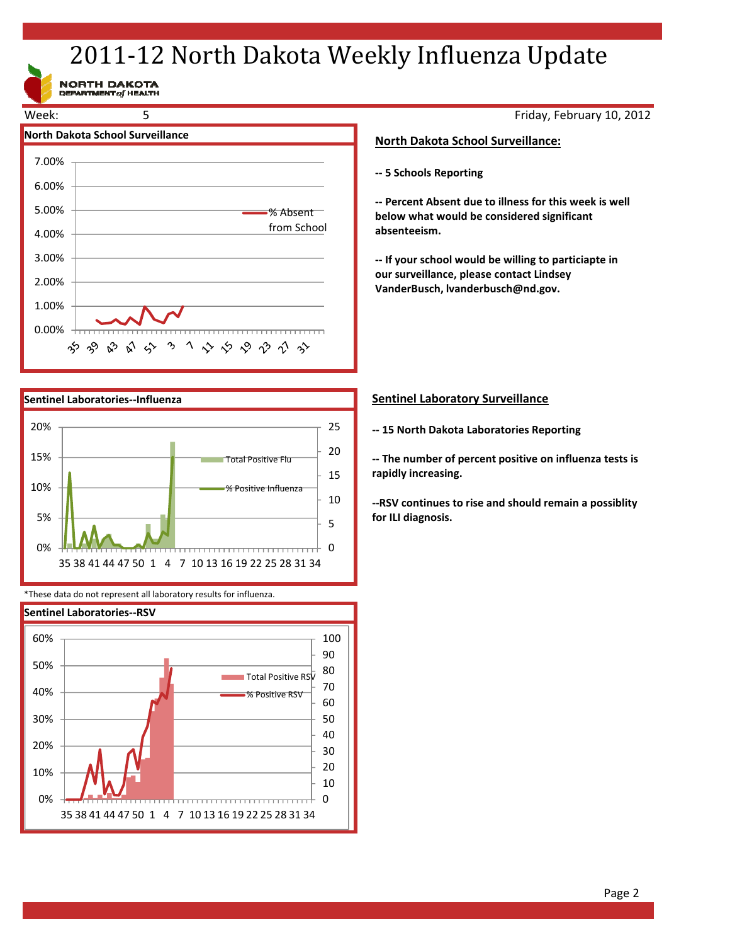# 2011-12 North Dakota Weekly Influenza Update

NORTH DAKOTA<br>DEPARTMENT of HEALTH





\*These data do not represent all laboratory results for influenza.



Friday, February 10, 2012

# **North Dakota School Surveillance:**

**‐‐ 5 Schools Reporting**

**‐‐ Percent Absent due to illness for this week is well below what would be considered significant absenteeism.**

**‐‐ If your school would be willing to particiapte in our surveillance, please contact Lindsey VanderBusch, lvanderbusch@nd.gov.**

# **Sentinel Laboratory Surveillance**

**‐‐ 15 North Dakota Laboratories Reporting**

**‐‐ The number of percent positive on influenza tests is rapidly increasing.**

**‐‐RSV continues to rise and should remain a possiblity for ILI diagnosis.**